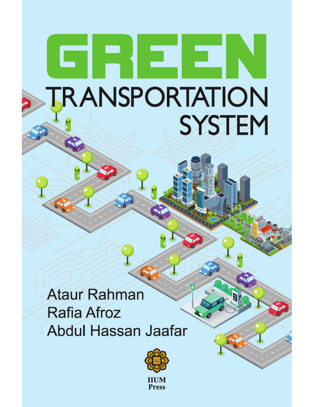# **TRANSPORTATION SYSTEM**

**Ataur Rahman Rafia Afroz Abdul Hassan Jaafar** 

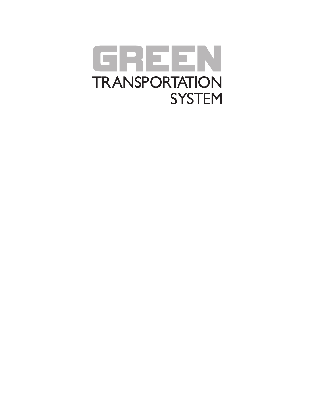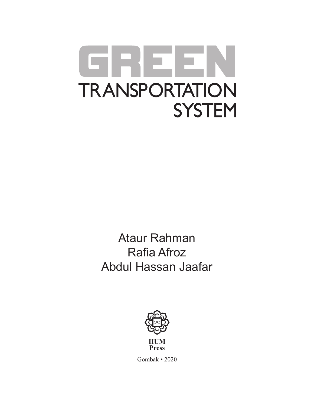# RIE E **TRANSPORTATION SYSTEM**

**Ataur Rahman Rafia Afroz** Abdul Hassan Jaafar



Gombak • 2020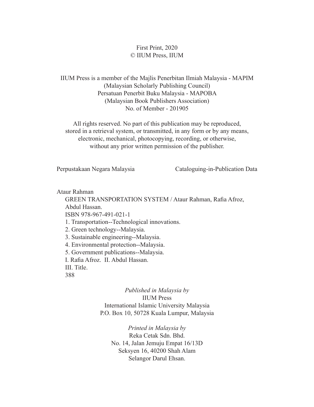#### First Print, 2020 © IIUM Press, IIUM

IIUM Press is a member of the Majlis Penerbitan Ilmiah Malaysia - MAPIM (Malaysian Scholarly Publishing Council) Persatuan Penerbit Buku Malaysia - MAPOBA (Malaysian Book Publishers Association) No. of Member - 201905

All rights reserved. No part of this publication may be reproduced, stored in a retrieval system, or transmitted, in any form or by any means, electronic, mechanical, photocopying, recording, or otherwise, without any prior written permission of the publisher.

Perpustakaan Negara Malaysia Cataloguing-in-Publication Data

Ataur Rahman

GREEN TRANSPORTATION SYSTEM / Ataur Rahman, Rafia Afroz, Abdul Hassan.

ISBN 978-967-491-021-1

. 7ransportation--7echnological innovations.

2. Green technology--Malaysia.

3. Sustainable engineering--Malaysia.

4. Environmental protection--Malaysia.

5. Government publications--Malaysia.

I. Rafia Afroz. II. Abdul Hassan.

III. Title.

388

#### *Published in Malaysia by* IIUM Press International Islamic University Malaysia P.O. Box 10, 50728 Kuala Lumpur, Malaysia

*Printed in Malaysia by* Reka Cetak Sdn. Bhd. No. 14, Jalan Jemuju Empat 16/13D Seksyen 16, 40200 Shah Alam Selangor Darul Ehsan.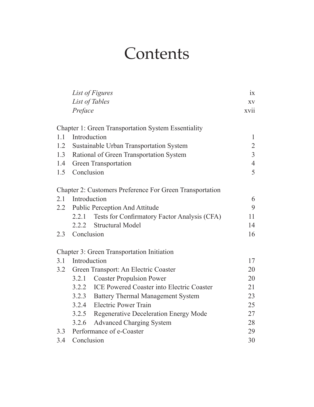## **Contents**

|     |                                      | List of Figures                                                 | 1X             |  |
|-----|--------------------------------------|-----------------------------------------------------------------|----------------|--|
|     |                                      | List of Tables                                                  | XV             |  |
|     | Preface                              |                                                                 | xvii           |  |
|     |                                      | <b>Chapter 1: Green Transportation System Essentiality</b>      |                |  |
|     | 1.1 Introduction                     |                                                                 | $\mathbf{1}$   |  |
| 1.2 |                                      | Sustainable Urban Transportation System                         | $\overline{2}$ |  |
| 1.3 |                                      | Rational of Green Transportation System                         | $\overline{3}$ |  |
| 1.4 |                                      | <b>Green Transportation</b>                                     | $\overline{4}$ |  |
| 1.5 | Conclusion                           |                                                                 | 5              |  |
|     |                                      | <b>Chapter 2: Customers Preference For Green Transportation</b> |                |  |
| 2.1 | Introduction                         |                                                                 | 6              |  |
|     |                                      | 2.2 Public Perception And Attitude                              | 9              |  |
|     | 2.2.1                                | Tests for Confirmatory Factor Analysis (CFA)                    | 11             |  |
|     |                                      | 2.2.2 Structural Model                                          | 14             |  |
| 2.3 | Conclusion                           |                                                                 | 16             |  |
|     |                                      | <b>Chapter 3: Green Transportation Initiation</b>               |                |  |
| 3.1 | Introduction                         |                                                                 | 17             |  |
| 3.2 | Green Transport: An Electric Coaster |                                                                 |                |  |
|     | 3.2.1                                | <b>Coaster Propulsion Power</b>                                 | 20             |  |
|     |                                      | 3.2.2 ICE Powered Coaster into Electric Coaster                 | 21             |  |
|     |                                      | 3.2.3 Battery Thermal Management System                         | 23             |  |
|     |                                      | 3.2.4 Electric Power Train                                      | 25             |  |
|     |                                      | 3.2.5 Regenerative Deceleration Energy Mode                     | 27             |  |
|     | 3.2.6                                | <b>Advanced Charging System</b>                                 | 28             |  |
|     |                                      | 3.3 Performance of e-Coaster                                    |                |  |
| 3.4 | Conclusion                           |                                                                 | 30             |  |
|     |                                      |                                                                 |                |  |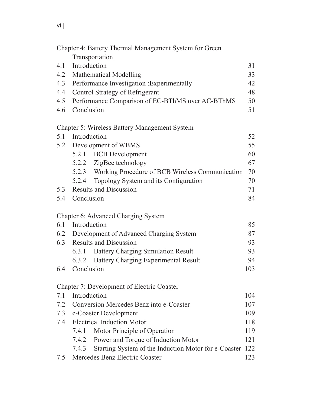|     |                                   | Chapter 4: Battery Thermal Management System for Green |     |
|-----|-----------------------------------|--------------------------------------------------------|-----|
|     |                                   | Transportation                                         |     |
| 4.1 | Introduction                      |                                                        |     |
| 4.2 |                                   | <b>Mathematical Modelling</b>                          | 33  |
| 4.3 |                                   | Performance Investigation : Experimentally             | 42  |
| 4.4 |                                   | Control Strategy of Refrigerant                        | 48  |
| 4.5 |                                   | Performance Comparison of EC-BThMS over AC-BThMS       | 50  |
| 4.6 | Conclusion                        |                                                        | 51  |
|     |                                   | <b>Chapter 5: Wireless Battery Management System</b>   |     |
| 5.1 | Introduction                      |                                                        | 52  |
| 5.2 |                                   | Development of WBMS                                    | 55  |
|     |                                   | 5.2.1 BCB Development                                  | 60  |
|     |                                   | 5.2.2 ZigBee technology                                | 67  |
|     |                                   | 5.2.3 Working Procedure of BCB Wireless Communication  | 70  |
|     | 5.2.4                             | Topology System and its Configuration                  | 70  |
| 5.3 |                                   | <b>Results and Discussion</b>                          | 71  |
| 5.4 | Conclusion                        |                                                        | 84  |
|     |                                   | Chapter 6: Advanced Charging System                    |     |
| 6.1 | Introduction                      |                                                        | 85  |
| 6.2 |                                   | Development of Advanced Charging System                | 87  |
| 6.3 |                                   | <b>Results and Discussion</b>                          | 93  |
|     | 6.3.1                             | <b>Battery Charging Simulation Result</b>              | 93  |
|     | 6.3.2                             | <b>Battery Charging Experimental Result</b>            | 94  |
| 6.4 | Conclusion                        |                                                        | 103 |
|     |                                   | Chapter 7: Development of Electric Coaster             |     |
| 7.1 | Introduction                      |                                                        | 104 |
| 7.2 |                                   | Conversion Mercedes Benz into e-Coaster                | 107 |
| 7.3 |                                   | e-Coaster Development                                  | 109 |
| 7.4 | <b>Electrical Induction Motor</b> |                                                        |     |
|     | 7.4.1                             | Motor Principle of Operation                           | 119 |
|     | 7.4.2                             | Power and Torque of Induction Motor                    | 121 |
|     | 7.4.3                             | Starting System of the Induction Motor for e-Coaster   | 122 |
| 7.5 |                                   | Mercedes Benz Electric Coaster                         | 123 |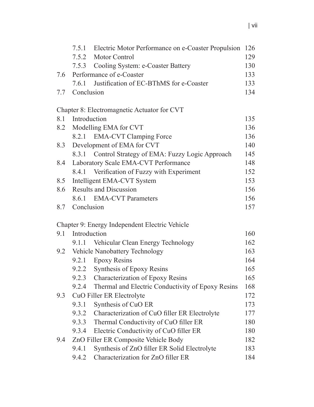|     |                                    | 7.5.1 Electric Motor Performance on e-Coaster Propulsion | 126 |
|-----|------------------------------------|----------------------------------------------------------|-----|
|     |                                    | 7.5.2 Motor Control                                      | 129 |
|     |                                    | 7.5.3 Cooling System: e-Coaster Battery                  | 130 |
| 7.6 |                                    | Performance of e-Coaster                                 | 133 |
|     |                                    | 7.6.1 Justification of EC-BThMS for e-Coaster            | 133 |
| 7.7 | Conclusion                         |                                                          | 134 |
|     |                                    |                                                          |     |
|     |                                    | Chapter 8: Electromagnetic Actuator for CVT              |     |
| 8.1 | Introduction                       |                                                          | 135 |
| 8.2 |                                    | Modelling EMA for CVT                                    | 136 |
|     |                                    | 8.2.1 EMA-CVT Clamping Force                             | 136 |
| 8.3 |                                    | Development of EMA for CVT                               | 140 |
|     | 8.3.1                              | Control Strategy of EMA: Fuzzy Logic Approach            | 145 |
| 8.4 |                                    | Laboratory Scale EMA-CVT Performance                     | 148 |
|     | 8.4.1                              | Verification of Fuzzy with Experiment                    | 152 |
| 8.5 |                                    | Intelligent EMA-CVT System                               | 153 |
| 8.6 |                                    | <b>Results and Discussion</b>                            | 156 |
|     |                                    | 8.6.1 EMA-CVT Parameters                                 | 156 |
| 8.7 | Conclusion                         |                                                          | 157 |
|     |                                    |                                                          |     |
|     |                                    | Chapter 9: Energy Independent Electric Vehicle           |     |
| 9.1 | Introduction                       |                                                          | 160 |
|     |                                    | 9.1.1 Vehicular Clean Energy Technology                  | 162 |
|     | 9.2 Vehicle Nanobattery Technology |                                                          | 163 |
|     |                                    | 9.2.1 Epoxy Resins                                       | 164 |
|     | 9.2.2                              | Synthesis of Epoxy Resins                                | 165 |
|     | 9.2.3                              | <b>Characterization of Epoxy Resins</b>                  | 165 |
|     | 9.2.4                              | Thermal and Electric Conductivity of Epoxy Resins        | 168 |
| 9.3 |                                    | CuO Filler ER Electrolyte                                | 172 |
|     | 9.3.1                              | Synthesis of CuO ER                                      | 173 |
|     | 9.3.2                              | Characterization of CuO filler ER Electrolyte            | 177 |
|     | 9.3.3                              | Thermal Conductivity of CuO filler ER                    | 180 |
|     | 9.3.4                              | Electric Conductivity of CuO filler ER                   | 180 |
| 9.4 |                                    | ZnO Filler ER Composite Vehicle Body                     | 182 |
|     | 9.4.1                              | Synthesis of ZnO filler ER Solid Electrolyte             | 183 |
|     | 9.4.2                              | Characterization for ZnO filler ER                       | 184 |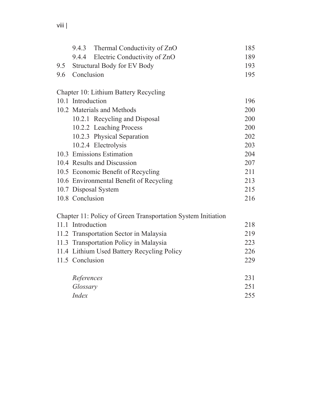|     |                                    | 9.4.3 Thermal Conductivity of ZnO                            | 185 |
|-----|------------------------------------|--------------------------------------------------------------|-----|
|     | 9.4.4                              | Electric Conductivity of ZnO                                 | 189 |
| 9.5 | <b>Structural Body for EV Body</b> |                                                              |     |
| 9.6 | Conclusion                         |                                                              | 195 |
|     |                                    | Chapter 10: Lithium Battery Recycling                        |     |
|     | 10.1 Introduction                  |                                                              | 196 |
|     | 10.2 Materials and Methods         |                                                              |     |
|     |                                    | 10.2.1 Recycling and Disposal                                | 200 |
|     |                                    | 10.2.2 Leaching Process                                      | 200 |
|     |                                    | 10.2.3 Physical Separation                                   | 202 |
|     |                                    | 10.2.4 Electrolysis                                          | 203 |
|     |                                    | 10.3 Emissions Estimation                                    | 204 |
|     |                                    | 10.4 Results and Discussion                                  | 207 |
|     |                                    | 10.5 Economic Benefit of Recycling                           | 211 |
|     |                                    | 10.6 Environmental Benefit of Recycling                      | 213 |
|     |                                    | 10.7 Disposal System                                         | 215 |
|     | 10.8 Conclusion                    |                                                              | 216 |
|     |                                    | Chapter 11: Policy of Green Transportation System Initiation |     |
|     | 11.1 Introduction                  |                                                              | 218 |
|     |                                    | 11.2 Transportation Sector in Malaysia                       | 219 |
|     |                                    | 11.3 Transportation Policy in Malaysia                       | 223 |
|     |                                    | 11.4 Lithium Used Battery Recycling Policy                   | 226 |
|     | 11.5 Conclusion                    |                                                              | 229 |
|     | References                         |                                                              | 231 |
|     | Glossary                           |                                                              | 251 |
|     | <b>Index</b>                       |                                                              | 255 |